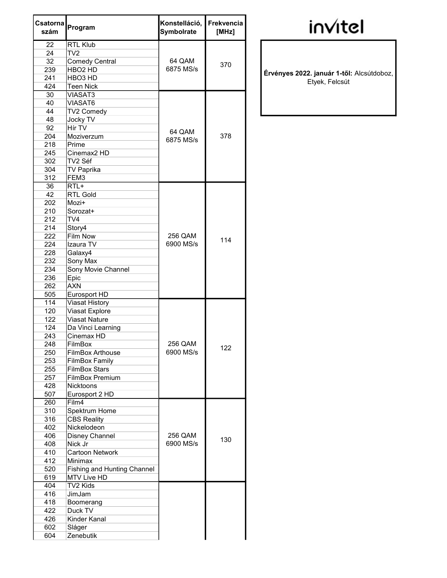| Csatorna<br>szám | Program                            | Konstelláció,<br>Symbolrate | Frekvencia<br>[MHz] |
|------------------|------------------------------------|-----------------------------|---------------------|
| 22               | <b>RTL Klub</b>                    |                             |                     |
| 24               | TV <sub>2</sub>                    |                             |                     |
| 32               | <b>Comedy Central</b>              | 64 QAM                      |                     |
| 239              | HBO <sub>2</sub> HD                | 6875 MS/s                   | 370                 |
| 241              | HBO <sub>3</sub> HD                |                             |                     |
| 424              | <b>Teen Nick</b>                   |                             |                     |
| 30               | <b>VIASAT3</b>                     |                             |                     |
| 40               | VIASAT6                            |                             |                     |
| 44               | TV2 Comedy                         |                             |                     |
| 48               | Jocky TV                           |                             |                     |
| 92               | Hír TV                             |                             | 378                 |
| 204              | Moziverzum                         | 64 QAM                      |                     |
| 218              | Prime                              | 6875 MS/s                   |                     |
| 245              | Cinemax <sub>2</sub> HD            |                             |                     |
| 302              | TV2 Séf                            |                             |                     |
| 304              | <b>TV Paprika</b>                  |                             |                     |
| 312              | FEM3                               |                             |                     |
| 36               | RTL+                               |                             |                     |
| 42               | <b>RTL Gold</b>                    |                             |                     |
| 202              | Mozi+                              |                             | 114                 |
| 210              | Sorozat+                           |                             |                     |
| 212              | TV4                                |                             |                     |
| 214              | Story4                             |                             |                     |
| 222              | <b>Film Now</b>                    | 256 QAM                     |                     |
| 224              | Izaura TV                          | 6900 MS/s                   |                     |
| 228              | Galaxy4                            |                             |                     |
| 232              | Sony Max                           |                             |                     |
| 234              | Sony Movie Channel                 |                             |                     |
| 236              | Epic                               |                             |                     |
| 262              | <b>AXN</b>                         |                             |                     |
| 505              | Eurosport HD                       |                             |                     |
| 114              | <b>Viasat History</b>              |                             |                     |
| 120              | Viasat Explore                     |                             | 122                 |
| 122              | <b>Viasat Nature</b>               |                             |                     |
| 124              | Da Vinci Learning                  |                             |                     |
| 243              | Cinemax HD                         |                             |                     |
| 248              | FilmBox                            | 256 QAM                     |                     |
| 250              | <b>FilmBox Arthouse</b>            | 6900 MS/s                   |                     |
| 253              | <b>FilmBox Family</b>              |                             |                     |
| 255              | <b>FilmBox Stars</b>               |                             |                     |
| 257              | FilmBox Premium                    |                             |                     |
| 428              | <b>Nicktoons</b>                   |                             |                     |
| 507              | Eurosport 2 HD                     |                             |                     |
| 260              | Film4                              |                             |                     |
| 310              | Spektrum Home                      |                             |                     |
| 316              | <b>CBS Reality</b>                 |                             |                     |
| 402              | Nickelodeon                        |                             |                     |
| 406              | Disney Channel                     | 256 QAM                     |                     |
| 408              | Nick Jr                            | 6900 MS/s                   | 130                 |
| 410              | <b>Cartoon Network</b>             |                             |                     |
| 412              | Minimax                            |                             |                     |
| 520              | <b>Fishing and Hunting Channel</b> |                             |                     |
| 619              | MTV Live HD                        |                             |                     |
| 404              | TV2 Kids                           |                             |                     |
| 416              | JimJam                             |                             |                     |
| 418              | Boomerang                          |                             |                     |
| 422              | Duck TV                            |                             |                     |
| 426              | Kinder Kanal                       |                             |                     |
| 602              | Sláger                             |                             |                     |
| 604              | Zenebutik                          |                             |                     |
|                  |                                    |                             |                     |

## invitel

Érvényes 2022. január 1-től: Alcsútdoboz, Etyek, Felcsút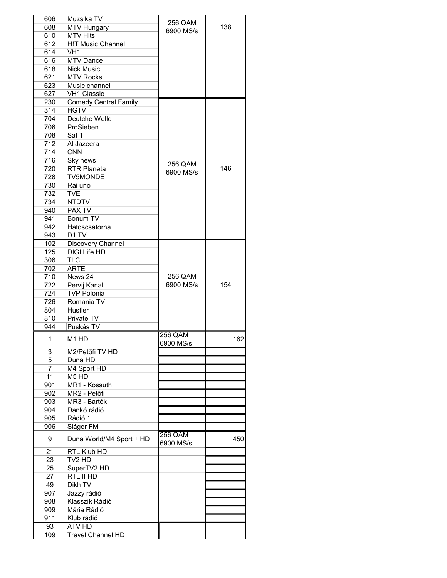| 606            | Muzsika TV                   | 256 QAM        |     |
|----------------|------------------------------|----------------|-----|
| 608            | <b>MTV Hungary</b>           | 6900 MS/s      | 138 |
| 610            | <b>MTV Hits</b>              |                |     |
| 612            | <b>H!T Music Channel</b>     |                |     |
| 614            | VH <sub>1</sub>              |                |     |
| 616            | <b>MTV Dance</b>             |                |     |
| 618            | <b>Nick Music</b>            |                |     |
| 621            | <b>MTV Rocks</b>             |                |     |
| 623            | Music channel                |                |     |
|                | <b>VH1 Classic</b>           |                |     |
| 627            |                              |                |     |
| 230            | <b>Comedy Central Family</b> |                |     |
| 314            | <b>HGTV</b>                  |                |     |
| 704            | Deutche Welle                |                |     |
| 706            | ProSieben                    |                |     |
| 708            | Sat 1                        |                |     |
| 712            | Al Jazeera                   |                |     |
| 714            | <b>CNN</b>                   |                |     |
| 716            | Sky news                     |                |     |
| 720            | <b>RTR Planeta</b>           | 256 QAM        | 146 |
| 728            | <b>TV5MONDE</b>              | 6900 MS/s      |     |
| 730            | Rai uno                      |                |     |
|                |                              |                |     |
| 732            | <b>TVE</b>                   |                |     |
| 734            | <b>NTDTV</b>                 |                |     |
| 940            | <b>PAX TV</b>                |                |     |
| 941            | Bonum TV                     |                |     |
| 942            | Hatoscsatorna                |                |     |
| 943            | D <sub>1</sub> TV            |                |     |
| 102            | Discovery Channel            |                |     |
| 125            | <b>DIGI Life HD</b>          |                |     |
|                |                              |                |     |
| 306            | <b>TLC</b>                   |                |     |
| 702            | <b>ARTE</b>                  |                |     |
| 710            | News 24                      | 256 QAM        |     |
| 722            | Pervij Kanal                 | 6900 MS/s      | 154 |
| 724            | <b>TVP Polonia</b>           |                |     |
| 726            | Romania TV                   |                |     |
| 804            | Hustler                      |                |     |
| 810            | Private TV                   |                |     |
| 944            | Puskás TV                    |                |     |
|                |                              | 256 QAM        |     |
| $\overline{1}$ | M1 HD                        | 6900 MS/s      | 162 |
| 3              | M2/Petőfi TV HD              |                |     |
| 5              | Duna HD                      |                |     |
|                |                              |                |     |
| $\overline{7}$ | M4 Sport HD                  |                |     |
| 11             | $\overline{M}$ 5 HD          |                |     |
| 901            | MR1 - Kossuth                |                |     |
| 902            | MR2 - Petőfi                 |                |     |
| 903            | MR3 - Bartók                 |                |     |
| 904            | Dankó rádió                  |                |     |
| 905            | Rádió 1                      |                |     |
| 906            | Sláger FM                    |                |     |
| 9              | Duna World/M4 Sport + HD     | <b>256 QAM</b> | 450 |
| 21             | <b>RTL Klub HD</b>           | 6900 MS/s      |     |
| 23             | TV <sub>2</sub> HD           |                |     |
| 25             | SuperTV2 HD                  |                |     |
|                |                              |                |     |
| 27             | RTL II HD                    |                |     |
| 49             | Dikh TV                      |                |     |
| 907            | Jazzy rádió                  |                |     |
| 908            | Klasszik Rádió               |                |     |
| 909            | Mária Rádió                  |                |     |
| 911            | Klub rádió                   |                |     |
| 93             | ATV HD                       |                |     |
| 109            | <b>Travel Channel HD</b>     |                |     |
|                |                              |                |     |